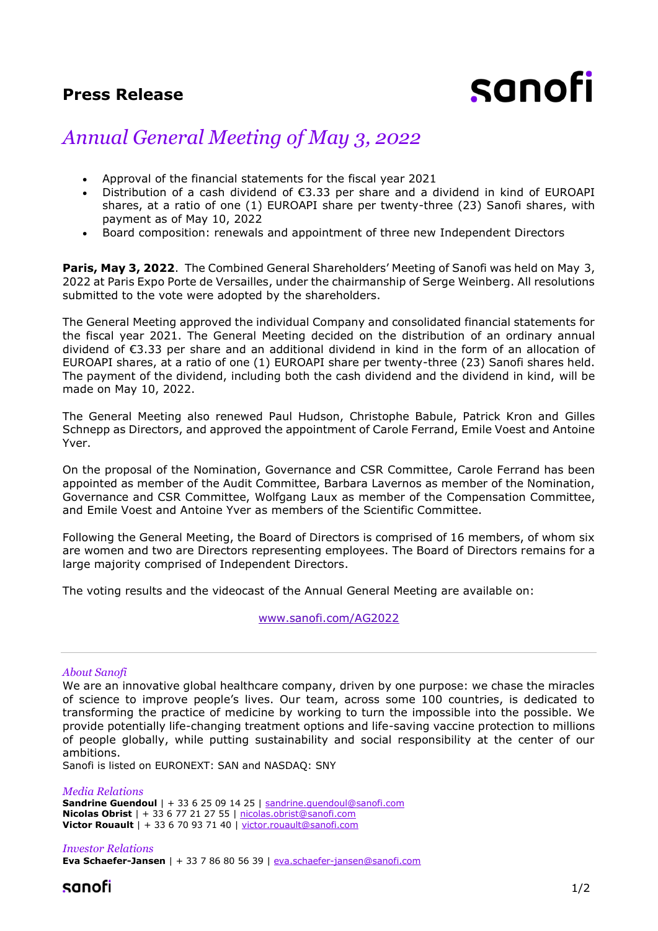## **Press Release**

# sanofi

## *Annual General Meeting of May 3, 2022*

- Approval of the financial statements for the fiscal year 2021
- Distribution of a cash dividend of €3.33 per share and a dividend in kind of EUROAPI shares, at a ratio of one (1) EUROAPI share per twenty-three (23) Sanofi shares, with payment as of May 10, 2022
- Board composition: renewals and appointment of three new Independent Directors

**Paris, May 3, 2022**. The Combined General Shareholders' Meeting of Sanofi was held on May 3, 2022 at Paris Expo Porte de Versailles, under the chairmanship of Serge Weinberg. All resolutions submitted to the vote were adopted by the shareholders.

The General Meeting approved the individual Company and consolidated financial statements for the fiscal year 2021. The General Meeting decided on the distribution of an ordinary annual dividend of €3.33 per share and an additional dividend in kind in the form of an allocation of EUROAPI shares, at a ratio of one (1) EUROAPI share per twenty-three (23) Sanofi shares held. The payment of the dividend, including both the cash dividend and the dividend in kind, will be made on May 10, 2022.

The General Meeting also renewed Paul Hudson, Christophe Babule, Patrick Kron and Gilles Schnepp as Directors, and approved the appointment of Carole Ferrand, Emile Voest and Antoine Yver.

On the proposal of the Nomination, Governance and CSR Committee, Carole Ferrand has been appointed as member of the Audit Committee, Barbara Lavernos as member of the Nomination, Governance and CSR Committee, Wolfgang Laux as member of the Compensation Committee, and Emile Voest and Antoine Yver as members of the Scientific Committee.

Following the General Meeting, the Board of Directors is comprised of 16 members, of whom six are women and two are Directors representing employees. The Board of Directors remains for a large majority comprised of Independent Directors.

The voting results and the videocast of the Annual General Meeting are available on:

[www.sanofi.com/AG2022](https://www.sanofi.com/en/investors/financial-results-and-events/general-meetings/AGM-2022)

### *About Sanofi*

We are an innovative global healthcare company, driven by one purpose: we chase the miracles of science to improve people's lives. Our team, across some 100 countries, is dedicated to transforming the practice of medicine by working to turn the impossible into the possible. We provide potentially life-changing treatment options and life-saving vaccine protection to millions of people globally, while putting sustainability and social responsibility at the center of our ambitions.

Sanofi is listed on EURONEXT: SAN and NASDAQ: SNY

*Media Relations* **Sandrine Guendoul** | + 33 6 25 09 14 25 | sandrine.quendoul@sanofi.com **Nicolas Obrist** | + 33 6 77 21 27 55 | [nicolas.obrist@sanofi.com](mailto:nicolas.obrist@sanofi.com) **Victor Rouault** | + 33 6 70 93 71 40 | [victor.rouault@sanofi.com](mailto:victor.rouault@sanofi.com)

*Investor Relations* **Eva Schaefer-Jansen** | + 33 7 86 80 56 39 | [eva.schaefer-jansen@sanofi.com](mailto:eva.schaefer-jansen@sanofi.com)